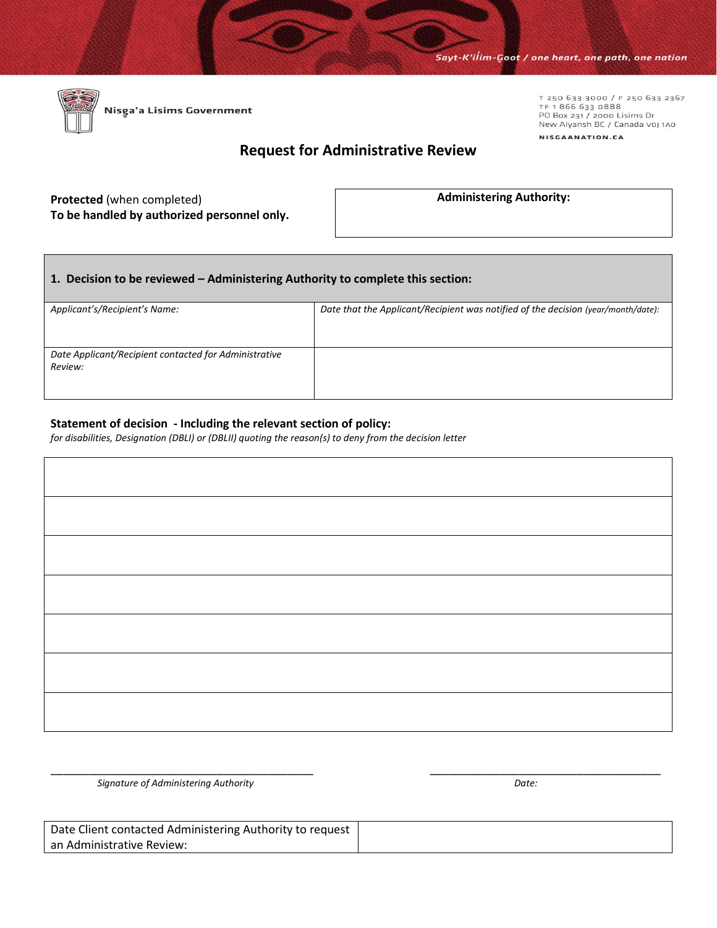T 250 633 3000 / F 250 633 2367<br>TF 1 866 633 0888<br>PO Box 231 / 2000 Lisims Dr

New Aiyansh BC / Canada voj 1A0

NISGAANATION.CA



## **Request for Administrative Review**

## **Protected** (when completed) **To be handled by authorized personnel only.**

**Administering Authority:**

## **1. Decision to be reviewed – Administering Authority to complete this section:**

| Applicant's/Recipient's Name:                         | Date that the Applicant/Recipient was notified of the decision (year/month/date): |  |  |
|-------------------------------------------------------|-----------------------------------------------------------------------------------|--|--|
|                                                       |                                                                                   |  |  |
|                                                       |                                                                                   |  |  |
| Date Applicant/Recipient contacted for Administrative |                                                                                   |  |  |
| Review:                                               |                                                                                   |  |  |
|                                                       |                                                                                   |  |  |
|                                                       |                                                                                   |  |  |

## **Statement of decision - Including the relevant section of policy:**

*for disabilities, Designation (DBLI) or (DBLII) quoting the reason(s) to deny from the decision letter* 

\_\_\_\_\_\_\_\_\_\_\_\_\_\_\_\_\_\_\_\_\_\_\_\_\_\_\_\_\_\_\_\_\_\_\_\_\_\_\_\_\_ \_\_\_\_\_\_\_\_\_\_\_\_\_\_\_\_\_\_\_\_\_\_\_\_\_\_\_\_\_\_\_\_\_\_\_\_

*Signature of Administering Authority Date:*

| Date Client contacted Administering Authority to request |  |
|----------------------------------------------------------|--|
| an Administrative Review:                                |  |